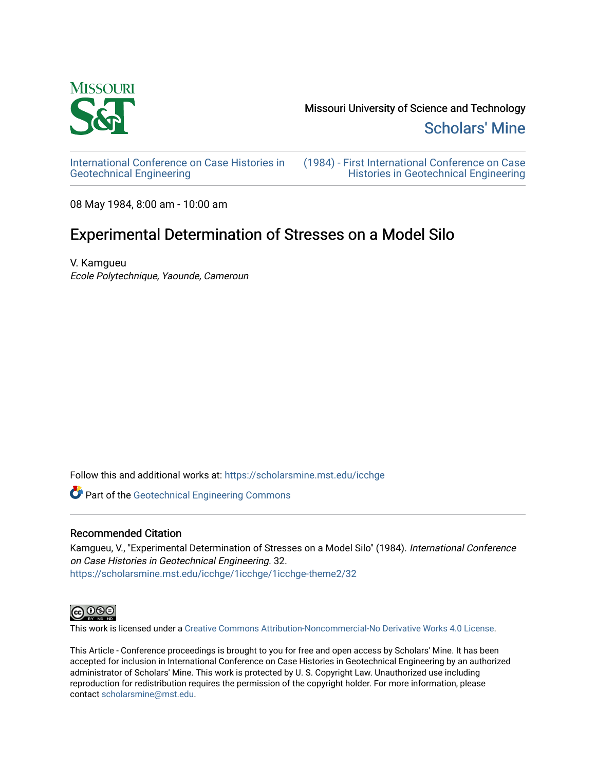

[Scholars' Mine](https://scholarsmine.mst.edu/) 

[International Conference on Case Histories in](https://scholarsmine.mst.edu/icchge)  [Geotechnical Engineering](https://scholarsmine.mst.edu/icchge)

[\(1984\) - First International Conference on Case](https://scholarsmine.mst.edu/icchge/1icchge)  [Histories in Geotechnical Engineering](https://scholarsmine.mst.edu/icchge/1icchge) 

08 May 1984, 8:00 am - 10:00 am

# Experimental Determination of Stresses on a Model Silo

V. Kamgueu Ecole Polytechnique, Yaounde, Cameroun

Follow this and additional works at: [https://scholarsmine.mst.edu/icchge](https://scholarsmine.mst.edu/icchge?utm_source=scholarsmine.mst.edu%2Ficchge%2F1icchge%2F1icchge-theme2%2F32&utm_medium=PDF&utm_campaign=PDFCoverPages) 

**Part of the Geotechnical Engineering Commons** 

### Recommended Citation

Kamgueu, V., "Experimental Determination of Stresses on a Model Silo" (1984). International Conference on Case Histories in Geotechnical Engineering. 32. [https://scholarsmine.mst.edu/icchge/1icchge/1icchge-theme2/32](https://scholarsmine.mst.edu/icchge/1icchge/1icchge-theme2/32?utm_source=scholarsmine.mst.edu%2Ficchge%2F1icchge%2F1icchge-theme2%2F32&utm_medium=PDF&utm_campaign=PDFCoverPages) 



This work is licensed under a [Creative Commons Attribution-Noncommercial-No Derivative Works 4.0 License.](https://creativecommons.org/licenses/by-nc-nd/4.0/)

This Article - Conference proceedings is brought to you for free and open access by Scholars' Mine. It has been accepted for inclusion in International Conference on Case Histories in Geotechnical Engineering by an authorized administrator of Scholars' Mine. This work is protected by U. S. Copyright Law. Unauthorized use including reproduction for redistribution requires the permission of the copyright holder. For more information, please contact [scholarsmine@mst.edu](mailto:scholarsmine@mst.edu).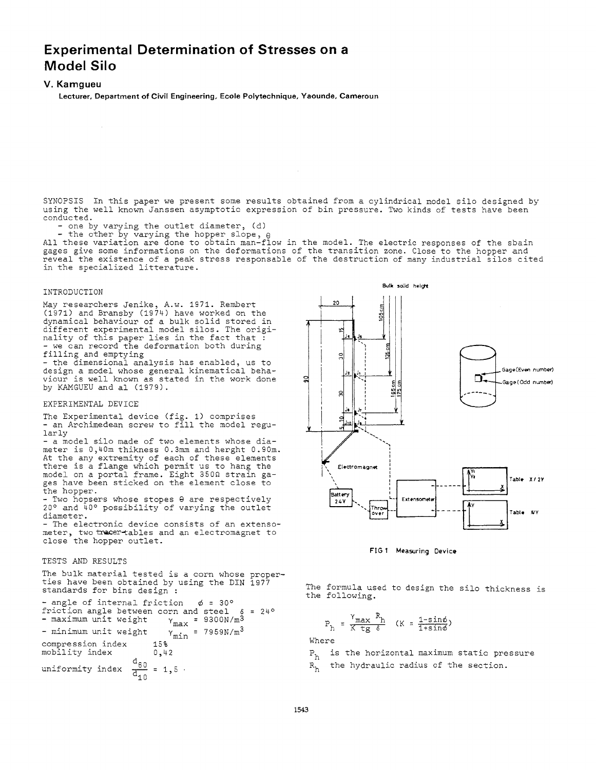## **Experimental Determination of Stresses on a Model Silo**

#### **V. Kamgueu**

**Lecturer, Department of Civil Engineering, Ecole Polytechnique, Yaounde, Cameroun** 

SYNOPSIS In this paper we present some results obtained from a cylindrical model silo designed by using the well known Janssen asymptotic expression of bin pressure. Two kinds of tests have been<br>conducted.

- one by varying the outlet diameter,  $(d)$ 

- the other by varying the hopper slope,  $\theta$ All these variation are done to obtain man-flow in the model. The electric responses of the sbain gages give some informations on the deformations of the transition zone. Close to the hopper and reveal the existence of a peak stress responsable of the destruction of many industrial silos cited in the specialized litterature.

#### INTRODUCTION

May researchers Jenike, A.w. 1971. Rembert (1971) and Bransby (1974) have worked on the dynamical behaviour of a bulk solid stored in different experimental model silos. The originality of this paper lies in the fact that :<br>- we can record the deformation both during - we can record the deformation both during<br>filling and emptying

- the dimensional analysis has enabled, us to design a model whose general kinematical behaviour is well known as stated in the work done by KAMGUEU and al (1979).

#### EXPERIMENTAL DEVICE

The Experimental device (fig. 1) comprises - an Archimedean screw to fill the model regularly

- a model silo made of two elements whose diameter is 0,40m thikness 0.3mm and herght 0.90m. At the any extremity of each of these elements there is a flange which permit us to hang the model on a portal frame. Eight 350n strain gages have been sticked on the element close to the hopper.

- Two hopsers whose stopes 8 are respectively 20° and 40° possibility of varying the outlet diameter.

- The electronic device consists of an extensometer, two tracer-tables and an electromagnet to close the hopper outlet.

#### TESTS AND RESULTS

The bulk material tested is a corn whose properties have been obtained by using the DIN 1977 standards for bins design :

- angle of internal friction ~ *=* 30° friction angle between corn and steel  $\delta$  = 24°<br>- maximum unit weight  $\gamma_{\text{max}}$  = 9300N/m<sup>3</sup> - maximum unit weight - minimum unit weight compression index mobility index  $Y_{\text{min}}$  = 7959N/m<sup>3</sup> 15%

 $\frac{d_{60}}{4}$  = 1,5.  $rac{60}{d_{10}}$ uniformity index



FIG 1 Measuring Device

The formula used to design the silo thickness is the following.

$$
P_h = \frac{Y_{\text{max}} R_h}{K \text{tg } \delta} \quad (K = \frac{1 - \sin \phi}{1 + \sin \phi})
$$

 $P_{n}$  i is the horizontal maximum static pressure  $R_{h}$  the hydraulic radius of the section.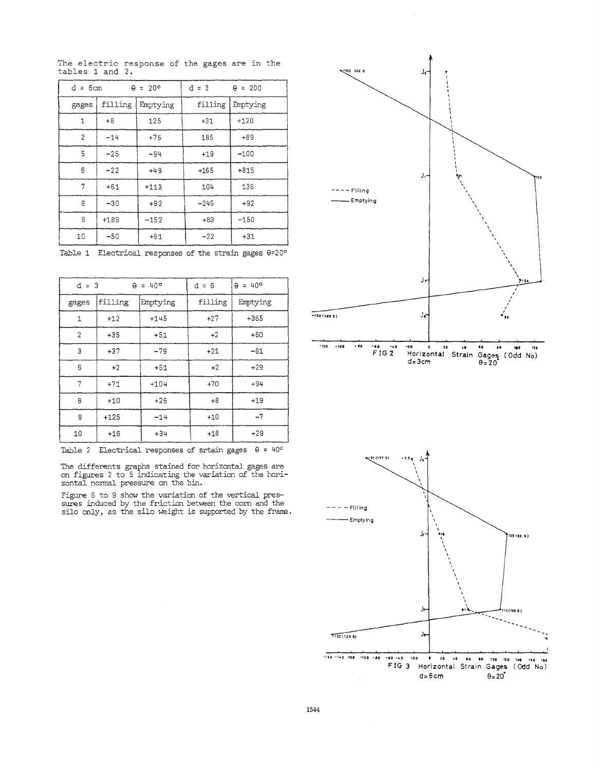| $d = 6cm$<br>$\theta = 20^{\circ}$ |         |          | $d = 3$ | $\theta = 200$ |
|------------------------------------|---------|----------|---------|----------------|
| gages                              | filling | Emptying | filling | Emptying       |
| 1                                  | $+8$    | 125      | $+31$   | $+120$         |
| $\overline{2}$                     | $-14$   | $+76$    | 185     | $+89$          |
| 5                                  | $-25$   | $-94$    | $+19$   | $-100$         |
| 6                                  | $-22$   | $+49$    | $+165$  | $+815$         |
| 7                                  | $+61$   | $+113$   | 104     | 136            |
| 8                                  | $-30$   | $+92$    | $-245$  | $+92$          |
| 9                                  | $+189$  | $-152$   | $+83$   | $-150$         |
| 10                                 | $-50$   | $+61$    | $-22$   | $+31$          |

The electric response of the gages are in the tables 1 and 2.

Table 1 Electrical responses of the strain gages  $\theta = 20^{\circ}$ 

| $d = 3$<br>$\theta = 40^{\circ}$ |         |          | $d = 6$ | $\theta = 40^{\circ}$ |
|----------------------------------|---------|----------|---------|-----------------------|
| gages                            | filling | Emptying | filling | Emptying              |
| $\mathbf 1$                      | $+12$   | $+145$   | $+27$   | $+365$                |
| $\overline{c}$                   | $+35$   | $+51$    | $+2$    | $+60$                 |
| 3                                | $+37$   | $-79$    | $+21$   | $-61$                 |
| 6                                | $+2$    | $+51$    | $+2$    | $+29$                 |
| 7                                | $+71$   | $+104$   | $+70$   | $+94$                 |
| 8                                | $+10$   | $+26$    | $+8$    | $+19$                 |
| g                                | $+125$  | $-14$    | $+10$   | $-7$                  |
| 10                               | $+16$   | $+34$    | $+18$   | $+29$                 |

Table 2 Electrical responses of srtain gages  $\theta = 40^{\circ}$ 

The differents graphs stained for horizontal gages are<br>on figures 2 to 5 indicating the variation of the horizontal nonnal pressure on the bin.

Figure 6 to 9 show the variation of the vertical pres- sures induced by the friction between the corn and the silo only, as the silo weight is supported by the frame.



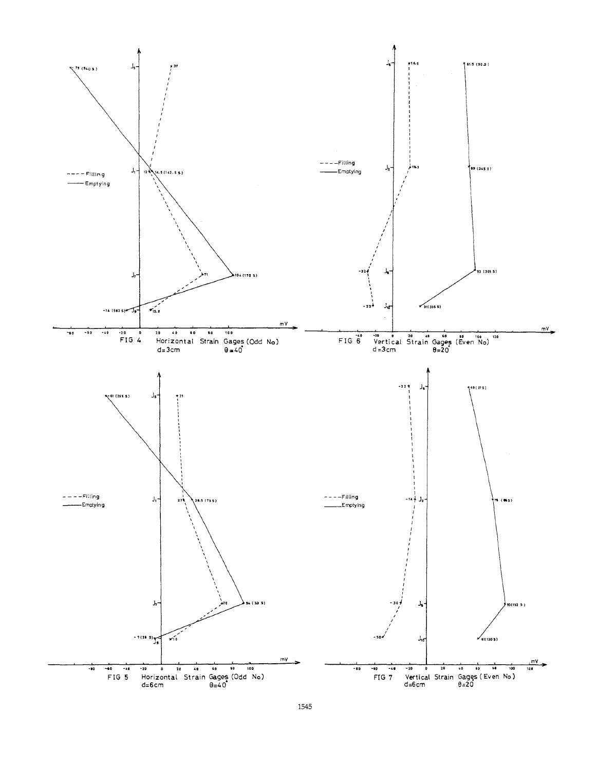